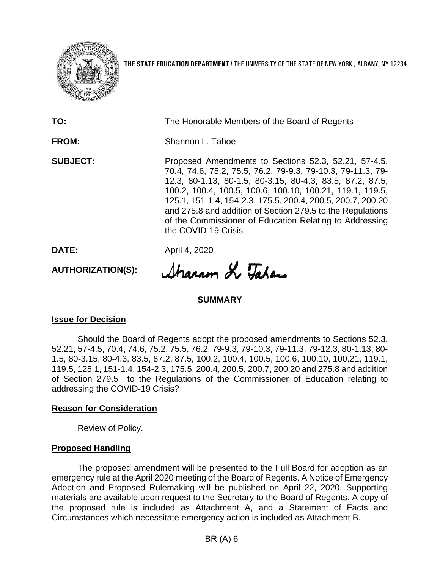

**THE STATE EDUCATION DEPARTMENT** / THE UNIVERSITY OF THE STATE OF NEW YORK / ALBANY, NY 12234

**TO:** The Honorable Members of the Board of Regents **FROM:** Shannon L. Tahoe **SUBJECT:** Proposed Amendments to Sections 52.3, 52.21, 57-4.5, 70.4, 74.6, 75.2, 75.5, 76.2, 79-9.3, 79-10.3, 79-11.3, 79- 12.3, 80-1.13, 80-1.5, 80-3.15, 80-4.3, 83.5, 87.2, 87.5, 100.2, 100.4, 100.5, 100.6, 100.10, 100.21, 119.1, 119.5, 125.1, 151-1.4, 154-2.3, 175.5, 200.4, 200.5, 200.7, 200.20 and 275.8 and addition of Section 279.5 to the Regulations of the Commissioner of Education Relating to Addressing the COVID-19 Crisis

**DATE:** April 4, 2020

**AUTHORIZATION(S):**

Sharam Le Tatan

## **SUMMARY**

## **Issue for Decision**

Should the Board of Regents adopt the proposed amendments to Sections 52.3, 52.21, 57-4.5, 70.4, 74.6, 75.2, 75.5, 76.2, 79-9.3, 79-10.3, 79-11.3, 79-12.3, 80-1.13, 80- 1.5, 80-3.15, 80-4.3, 83.5, 87.2, 87.5, 100.2, 100.4, 100.5, 100.6, 100.10, 100.21, 119.1, 119.5, 125.1, 151-1.4, 154-2.3, 175.5, 200.4, 200.5, 200.7, 200.20 and 275.8 and addition of Section 279.5 to the Regulations of the Commissioner of Education relating to addressing the COVID-19 Crisis?

## **Reason for Consideration**

Review of Policy.

## **Proposed Handling**

The proposed amendment will be presented to the Full Board for adoption as an emergency rule at the April 2020 meeting of the Board of Regents. A Notice of Emergency Adoption and Proposed Rulemaking will be published on April 22, 2020. Supporting materials are available upon request to the Secretary to the Board of Regents. A copy of the proposed rule is included as Attachment A, and a Statement of Facts and Circumstances which necessitate emergency action is included as Attachment B.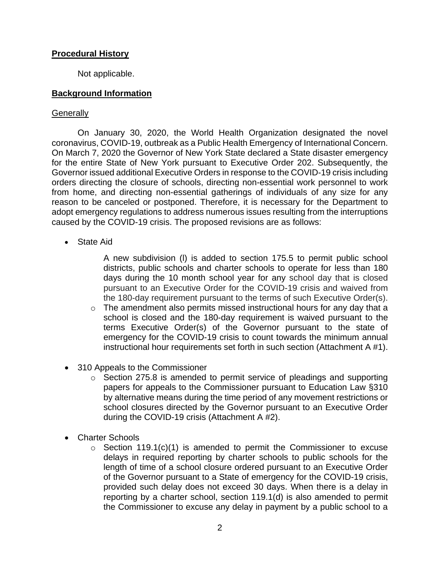## **Procedural History**

Not applicable.

## **Background Information**

### **Generally**

On January 30, 2020, the World Health Organization designated the novel coronavirus, COVID-19, outbreak as a Public Health Emergency of International Concern. On March 7, 2020 the Governor of New York State declared a State disaster emergency for the entire State of New York pursuant to Executive Order 202. Subsequently, the Governor issued additional Executive Orders in response to the COVID-19 crisis including orders directing the closure of schools, directing non-essential work personnel to work from home, and directing non-essential gatherings of individuals of any size for any reason to be canceled or postponed. Therefore, it is necessary for the Department to adopt emergency regulations to address numerous issues resulting from the interruptions caused by the COVID-19 crisis. The proposed revisions are as follows:

State Aid

A new subdivision (l) is added to section 175.5 to permit public school districts, public schools and charter schools to operate for less than 180 days during the 10 month school year for any school day that is closed pursuant to an Executive Order for the COVID-19 crisis and waived from the 180-day requirement pursuant to the terms of such Executive Order(s).

- o The amendment also permits missed instructional hours for any day that a school is closed and the 180-day requirement is waived pursuant to the terms Executive Order(s) of the Governor pursuant to the state of emergency for the COVID-19 crisis to count towards the minimum annual instructional hour requirements set forth in such section (Attachment A #1).
- 310 Appeals to the Commissioner
	- o Section 275.8 is amended to permit service of pleadings and supporting papers for appeals to the Commissioner pursuant to Education Law §310 by alternative means during the time period of any movement restrictions or school closures directed by the Governor pursuant to an Executive Order during the COVID-19 crisis (Attachment A #2).
- Charter Schools
	- $\circ$  Section 119.1(c)(1) is amended to permit the Commissioner to excuse delays in required reporting by charter schools to public schools for the length of time of a school closure ordered pursuant to an Executive Order of the Governor pursuant to a State of emergency for the COVID-19 crisis, provided such delay does not exceed 30 days. When there is a delay in reporting by a charter school, section 119.1(d) is also amended to permit the Commissioner to excuse any delay in payment by a public school to a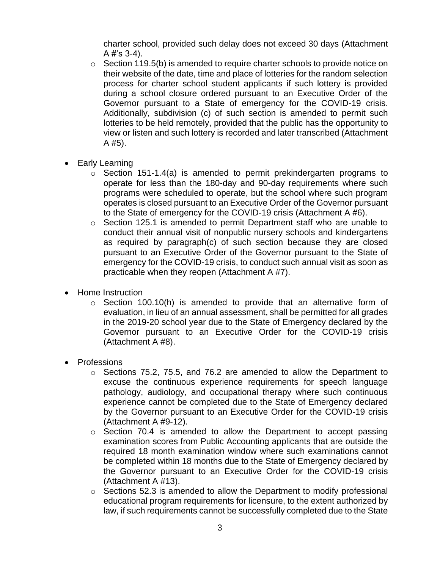charter school, provided such delay does not exceed 30 days (Attachment A  $#$ 's 3-4).

- $\circ$  Section 119.5(b) is amended to require charter schools to provide notice on their website of the date, time and place of lotteries for the random selection process for charter school student applicants if such lottery is provided during a school closure ordered pursuant to an Executive Order of the Governor pursuant to a State of emergency for the COVID-19 crisis. Additionally, subdivision (c) of such section is amended to permit such lotteries to be held remotely, provided that the public has the opportunity to view or listen and such lottery is recorded and later transcribed (Attachment A #5).
- Early Learning
	- o Section 151-1.4(a) is amended to permit prekindergarten programs to operate for less than the 180-day and 90-day requirements where such programs were scheduled to operate, but the school where such program operates is closed pursuant to an Executive Order of the Governor pursuant to the State of emergency for the COVID-19 crisis (Attachment A #6).
	- o Section 125.1 is amended to permit Department staff who are unable to conduct their annual visit of nonpublic nursery schools and kindergartens as required by paragraph(c) of such section because they are closed pursuant to an Executive Order of the Governor pursuant to the State of emergency for the COVID-19 crisis, to conduct such annual visit as soon as practicable when they reopen (Attachment A #7).
- Home Instruction
	- $\circ$  Section 100.10(h) is amended to provide that an alternative form of evaluation, in lieu of an annual assessment, shall be permitted for all grades in the 2019-20 school year due to the State of Emergency declared by the Governor pursuant to an Executive Order for the COVID-19 crisis (Attachment A #8).
- Professions
	- $\circ$  Sections 75.2, 75.5, and 76.2 are amended to allow the Department to excuse the continuous experience requirements for speech language pathology, audiology, and occupational therapy where such continuous experience cannot be completed due to the State of Emergency declared by the Governor pursuant to an Executive Order for the COVID-19 crisis (Attachment A #9-12).
	- o Section 70.4 is amended to allow the Department to accept passing examination scores from Public Accounting applicants that are outside the required 18 month examination window where such examinations cannot be completed within 18 months due to the State of Emergency declared by the Governor pursuant to an Executive Order for the COVID-19 crisis (Attachment A #13).
	- o Sections 52.3 is amended to allow the Department to modify professional educational program requirements for licensure, to the extent authorized by law, if such requirements cannot be successfully completed due to the State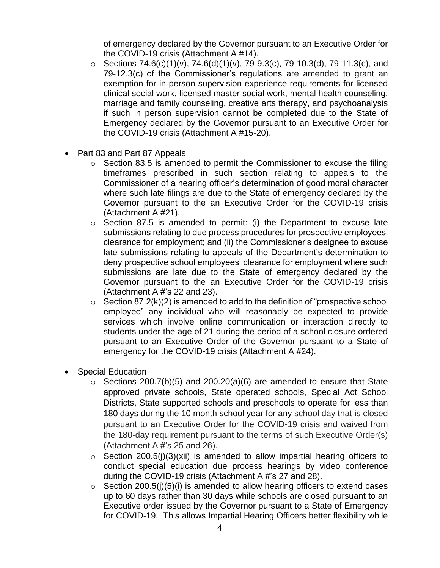of emergency declared by the Governor pursuant to an Executive Order for the COVID-19 crisis (Attachment A #14).

- o Sections 74.6(c)(1)(v), 74.6(d)(1)(v), 79-9.3(c), 79-10.3(d), 79-11.3(c), and 79-12.3(c) of the Commissioner's regulations are amended to grant an exemption for in person supervision experience requirements for licensed clinical social work, licensed master social work, mental health counseling, marriage and family counseling, creative arts therapy, and psychoanalysis if such in person supervision cannot be completed due to the State of Emergency declared by the Governor pursuant to an Executive Order for the COVID-19 crisis (Attachment A #15-20).
- Part 83 and Part 87 Appeals
	- o Section 83.5 is amended to permit the Commissioner to excuse the filing timeframes prescribed in such section relating to appeals to the Commissioner of a hearing officer's determination of good moral character where such late filings are due to the State of emergency declared by the Governor pursuant to the an Executive Order for the COVID-19 crisis (Attachment A #21).
	- $\circ$  Section 87.5 is amended to permit: (i) the Department to excuse late submissions relating to due process procedures for prospective employees' clearance for employment; and (ii) the Commissioner's designee to excuse late submissions relating to appeals of the Department's determination to deny prospective school employees' clearance for employment where such submissions are late due to the State of emergency declared by the Governor pursuant to the an Executive Order for the COVID-19 crisis (Attachment A #'s 22 and 23).
	- $\circ$  Section 87.2(k)(2) is amended to add to the definition of "prospective school employee" any individual who will reasonably be expected to provide services which involve online communication or interaction directly to students under the age of 21 during the period of a school closure ordered pursuant to an Executive Order of the Governor pursuant to a State of emergency for the COVID-19 crisis (Attachment A #24).
- Special Education
	- $\circ$  Sections 200.7(b)(5) and 200.20(a)(6) are amended to ensure that State approved private schools, State operated schools, Special Act School Districts, State supported schools and preschools to operate for less than 180 days during the 10 month school year for any school day that is closed pursuant to an Executive Order for the COVID-19 crisis and waived from the 180-day requirement pursuant to the terms of such Executive Order(s) (Attachment A #'s 25 and 26).
	- $\circ$  Section 200.5(j)(3)(xii) is amended to allow impartial hearing officers to conduct special education due process hearings by video conference during the COVID-19 crisis (Attachment A #'s 27 and 28).
	- $\circ$  Section 200.5(i)(5)(i) is amended to allow hearing officers to extend cases up to 60 days rather than 30 days while schools are closed pursuant to an Executive order issued by the Governor pursuant to a State of Emergency for COVID-19. This allows Impartial Hearing Officers better flexibility while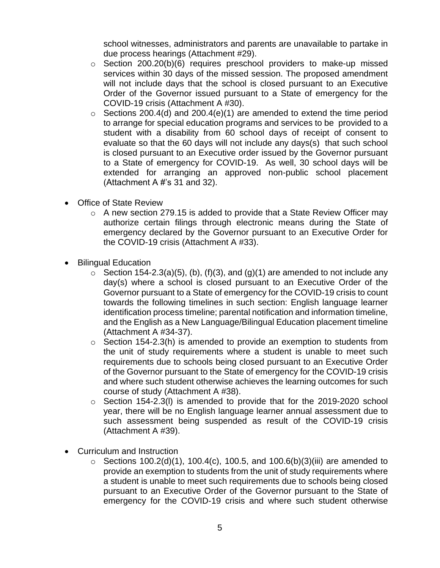school witnesses, administrators and parents are unavailable to partake in due process hearings (Attachment #29).

- $\circ$  Section 200.20(b)(6) requires preschool providers to make-up missed services within 30 days of the missed session. The proposed amendment will not include days that the school is closed pursuant to an Executive Order of the Governor issued pursuant to a State of emergency for the COVID-19 crisis (Attachment A #30).
- $\circ$  Sections 200.4(d) and 200.4(e)(1) are amended to extend the time period to arrange for special education programs and services to be provided to a student with a disability from 60 school days of receipt of consent to evaluate so that the 60 days will not include any days(s) that such school is closed pursuant to an Executive order issued by the Governor pursuant to a State of emergency for COVID-19. As well, 30 school days will be extended for arranging an approved non-public school placement (Attachment A #'s 31 and 32).
- Office of State Review
	- o A new section 279.15 is added to provide that a State Review Officer may authorize certain filings through electronic means during the State of emergency declared by the Governor pursuant to an Executive Order for the COVID-19 crisis (Attachment A #33).
- Bilingual Education
	- $\circ$  Section 154-2.3(a)(5), (b), (f)(3), and (g)(1) are amended to not include any day(s) where a school is closed pursuant to an Executive Order of the Governor pursuant to a State of emergency for the COVID-19 crisis to count towards the following timelines in such section: English language learner identification process timeline; parental notification and information timeline, and the English as a New Language/Bilingual Education placement timeline (Attachment A #34-37).
	- $\circ$  Section 154-2.3(h) is amended to provide an exemption to students from the unit of study requirements where a student is unable to meet such requirements due to schools being closed pursuant to an Executive Order of the Governor pursuant to the State of emergency for the COVID-19 crisis and where such student otherwise achieves the learning outcomes for such course of study (Attachment A #38).
	- $\circ$  Section 154-2.3(I) is amended to provide that for the 2019-2020 school year, there will be no English language learner annual assessment due to such assessment being suspended as result of the COVID-19 crisis (Attachment A #39).
- Curriculum and Instruction
	- $\circ$  Sections 100.2(d)(1), 100.4(c), 100.5, and 100.6(b)(3)(iii) are amended to provide an exemption to students from the unit of study requirements where a student is unable to meet such requirements due to schools being closed pursuant to an Executive Order of the Governor pursuant to the State of emergency for the COVID-19 crisis and where such student otherwise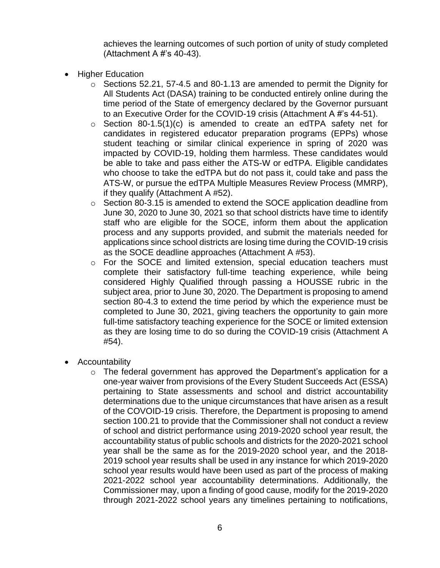achieves the learning outcomes of such portion of unity of study completed (Attachment A #'s 40-43).

- Higher Education
	- o Sections 52.21, 57-4.5 and 80-1.13 are amended to permit the Dignity for All Students Act (DASA) training to be conducted entirely online during the time period of the State of emergency declared by the Governor pursuant to an Executive Order for the COVID-19 crisis (Attachment A #'s 44-51).
	- $\circ$  Section 80-1.5(1)(c) is amended to create an edTPA safety net for candidates in registered educator preparation programs (EPPs) whose student teaching or similar clinical experience in spring of 2020 was impacted by COVID-19, holding them harmless. These candidates would be able to take and pass either the ATS-W or edTPA. Eligible candidates who choose to take the edTPA but do not pass it, could take and pass the ATS-W, or pursue the edTPA Multiple Measures Review Process (MMRP), if they qualify (Attachment A #52).
	- o Section 80-3.15 is amended to extend the SOCE application deadline from June 30, 2020 to June 30, 2021 so that school districts have time to identify staff who are eligible for the SOCE, inform them about the application process and any supports provided, and submit the materials needed for applications since school districts are losing time during the COVID-19 crisis as the SOCE deadline approaches (Attachment A #53).
	- o For the SOCE and limited extension, special education teachers must complete their satisfactory full-time teaching experience, while being considered Highly Qualified through passing a HOUSSE rubric in the subject area, prior to June 30, 2020. The Department is proposing to amend section 80-4.3 to extend the time period by which the experience must be completed to June 30, 2021, giving teachers the opportunity to gain more full-time satisfactory teaching experience for the SOCE or limited extension as they are losing time to do so during the COVID-19 crisis (Attachment A #54).
- Accountability
	- o The federal government has approved the Department's application for a one-year waiver from provisions of the Every Student Succeeds Act (ESSA) pertaining to State assessments and school and district accountability determinations due to the unique circumstances that have arisen as a result of the COVOID-19 crisis. Therefore, the Department is proposing to amend section 100.21 to provide that the Commissioner shall not conduct a review of school and district performance using 2019-2020 school year result, the accountability status of public schools and districts for the 2020-2021 school year shall be the same as for the 2019-2020 school year, and the 2018- 2019 school year results shall be used in any instance for which 2019-2020 school year results would have been used as part of the process of making 2021-2022 school year accountability determinations. Additionally, the Commissioner may, upon a finding of good cause, modify for the 2019-2020 through 2021-2022 school years any timelines pertaining to notifications,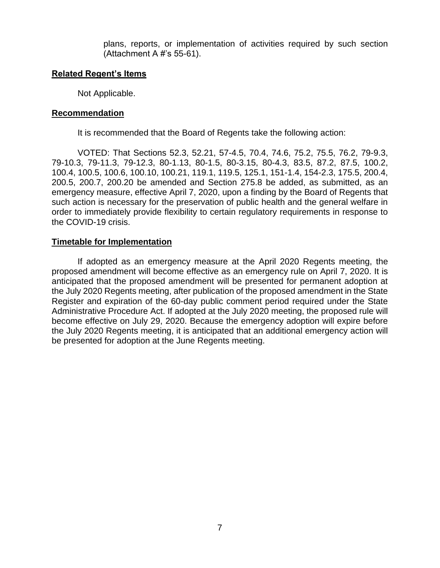plans, reports, or implementation of activities required by such section (Attachment A #'s 55-61).

### **Related Regent's Items**

Not Applicable.

#### **Recommendation**

It is recommended that the Board of Regents take the following action:

VOTED: That Sections 52.3, 52.21, 57-4.5, 70.4, 74.6, 75.2, 75.5, 76.2, 79-9.3, 79-10.3, 79-11.3, 79-12.3, 80-1.13, 80-1.5, 80-3.15, 80-4.3, 83.5, 87.2, 87.5, 100.2, 100.4, 100.5, 100.6, 100.10, 100.21, 119.1, 119.5, 125.1, 151-1.4, 154-2.3, 175.5, 200.4, 200.5, 200.7, 200.20 be amended and Section 275.8 be added, as submitted, as an emergency measure, effective April 7, 2020, upon a finding by the Board of Regents that such action is necessary for the preservation of public health and the general welfare in order to immediately provide flexibility to certain regulatory requirements in response to the COVID-19 crisis.

## **Timetable for Implementation**

If adopted as an emergency measure at the April 2020 Regents meeting, the proposed amendment will become effective as an emergency rule on April 7, 2020. It is anticipated that the proposed amendment will be presented for permanent adoption at the July 2020 Regents meeting, after publication of the proposed amendment in the State Register and expiration of the 60-day public comment period required under the State Administrative Procedure Act. If adopted at the July 2020 meeting, the proposed rule will become effective on July 29, 2020. Because the emergency adoption will expire before the July 2020 Regents meeting, it is anticipated that an additional emergency action will be presented for adoption at the June Regents meeting.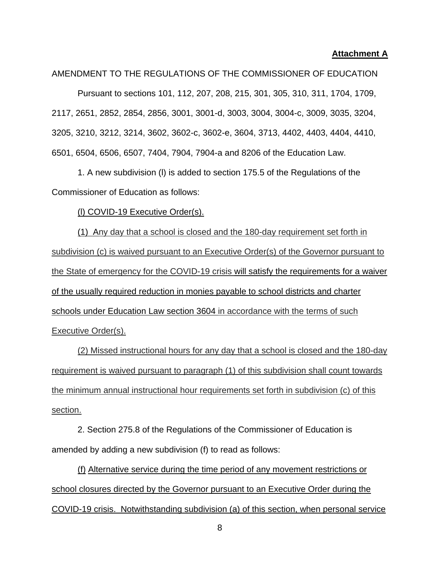#### **Attachment A**

AMENDMENT TO THE REGULATIONS OF THE COMMISSIONER OF EDUCATION

Pursuant to sections 101, 112, 207, 208, 215, 301, 305, 310, 311, 1704, 1709, 2117, 2651, 2852, 2854, 2856, 3001, 3001-d, 3003, 3004, 3004-c, 3009, 3035, 3204, 3205, 3210, 3212, 3214, 3602, 3602-c, 3602-e, 3604, 3713, 4402, 4403, 4404, 4410, 6501, 6504, 6506, 6507, 7404, 7904, 7904-a and 8206 of the Education Law.

1. A new subdivision (l) is added to section 175.5 of the Regulations of the Commissioner of Education as follows:

(l) COVID-19 Executive Order(s).

(1) Any day that a school is closed and the 180-day requirement set forth in subdivision (c) is waived pursuant to an Executive Order(s) of the Governor pursuant to the State of emergency for the COVID-19 crisis will satisfy the requirements for a waiver of the usually required reduction in monies payable to school districts and charter schools under Education Law section 3604 in accordance with the terms of such Executive Order(s).

(2) Missed instructional hours for any day that a school is closed and the 180-day requirement is waived pursuant to paragraph (1) of this subdivision shall count towards the minimum annual instructional hour requirements set forth in subdivision (c) of this section.

2. Section 275.8 of the Regulations of the Commissioner of Education is amended by adding a new subdivision (f) to read as follows:

(f) Alternative service during the time period of any movement restrictions or school closures directed by the Governor pursuant to an Executive Order during the COVID-19 crisis. Notwithstanding subdivision (a) of this section, when personal service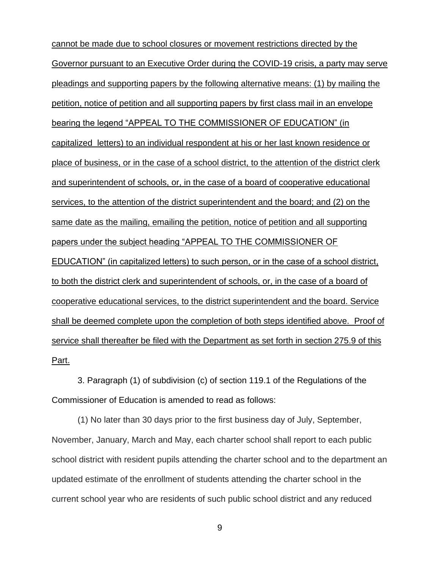cannot be made due to school closures or movement restrictions directed by the Governor pursuant to an Executive Order during the COVID-19 crisis, a party may serve pleadings and supporting papers by the following alternative means: (1) by mailing the petition, notice of petition and all supporting papers by first class mail in an envelope bearing the legend "APPEAL TO THE COMMISSIONER OF EDUCATION" (in capitalized letters) to an individual respondent at his or her last known residence or place of business, or in the case of a school district, to the attention of the district clerk and superintendent of schools, or, in the case of a board of cooperative educational services, to the attention of the district superintendent and the board; and (2) on the same date as the mailing, emailing the petition, notice of petition and all supporting papers under the subject heading "APPEAL TO THE COMMISSIONER OF EDUCATION" (in capitalized letters) to such person, or in the case of a school district, to both the district clerk and superintendent of schools, or, in the case of a board of cooperative educational services, to the district superintendent and the board. Service shall be deemed complete upon the completion of both steps identified above. Proof of service shall thereafter be filed with the Department as set forth in section 275.9 of this Part.

3. Paragraph (1) of subdivision (c) of section 119.1 of the Regulations of the Commissioner of Education is amended to read as follows:

(1) No later than 30 days prior to the first business day of July, September, November, January, March and May, each charter school shall report to each public school district with resident pupils attending the charter school and to the department an updated estimate of the enrollment of students attending the charter school in the current school year who are residents of such public school district and any reduced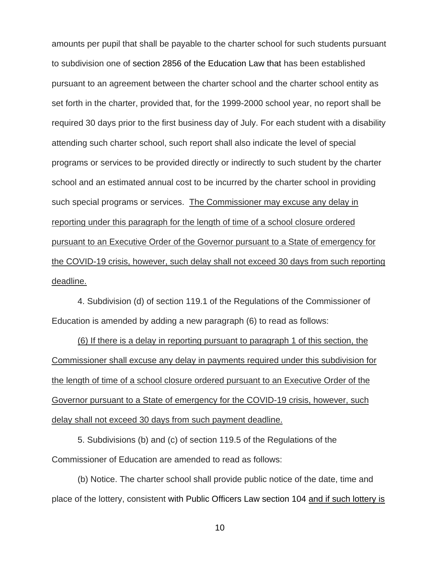amounts per pupil that shall be payable to the charter school for such students pursuant to subdivision one of section 2856 of the Education Law that has been established pursuant to an agreement between the charter school and the charter school entity as set forth in the charter, provided that, for the 1999-2000 school year, no report shall be required 30 days prior to the first business day of July. For each student with a disability attending such charter school, such report shall also indicate the level of special programs or services to be provided directly or indirectly to such student by the charter school and an estimated annual cost to be incurred by the charter school in providing such special programs or services. The Commissioner may excuse any delay in reporting under this paragraph for the length of time of a school closure ordered pursuant to an Executive Order of the Governor pursuant to a State of emergency for the COVID-19 crisis, however, such delay shall not exceed 30 days from such reporting deadline.

4. Subdivision (d) of section 119.1 of the Regulations of the Commissioner of Education is amended by adding a new paragraph (6) to read as follows:

(6) If there is a delay in reporting pursuant to paragraph 1 of this section, the Commissioner shall excuse any delay in payments required under this subdivision for the length of time of a school closure ordered pursuant to an Executive Order of the Governor pursuant to a State of emergency for the COVID-19 crisis, however, such delay shall not exceed 30 days from such payment deadline.

5. Subdivisions (b) and (c) of section 119.5 of the Regulations of the Commissioner of Education are amended to read as follows:

(b) Notice. The charter school shall provide public notice of the date, time and place of the lottery, consistent with Public Officers Law section 104 and if such lottery is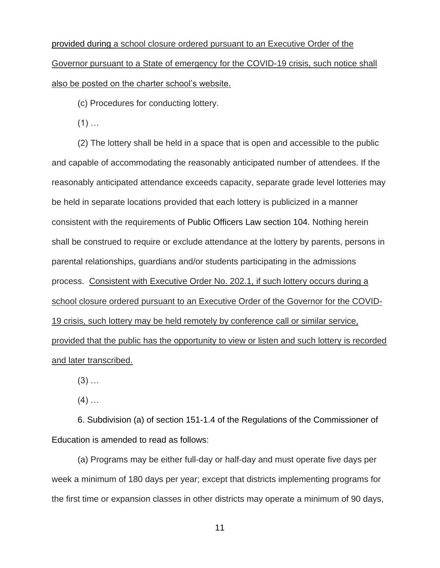provided during a school closure ordered pursuant to an Executive Order of the Governor pursuant to a State of emergency for the COVID-19 crisis, such notice shall also be posted on the charter school's website.

(c) Procedures for conducting lottery.

 $(1)$  ...

(2) The lottery shall be held in a space that is open and accessible to the public and capable of accommodating the reasonably anticipated number of attendees. If the reasonably anticipated attendance exceeds capacity, separate grade level lotteries may be held in separate locations provided that each lottery is publicized in a manner consistent with the requirements of Public Officers Law section 104. Nothing herein shall be construed to require or exclude attendance at the lottery by parents, persons in parental relationships, guardians and/or students participating in the admissions process. Consistent with Executive Order No. 202.1, if such lottery occurs during a school closure ordered pursuant to an Executive Order of the Governor for the COVID-19 crisis, such lottery may be held remotely by conference call or similar service, provided that the public has the opportunity to view or listen and such lottery is recorded and later transcribed.

 $(3)$  ...

 $(4)$  ...

6. Subdivision (a) of section 151-1.4 of the Regulations of the Commissioner of Education is amended to read as follows:

(a) Programs may be either full-day or half-day and must operate five days per week a minimum of 180 days per year; except that districts implementing programs for the first time or expansion classes in other districts may operate a minimum of 90 days,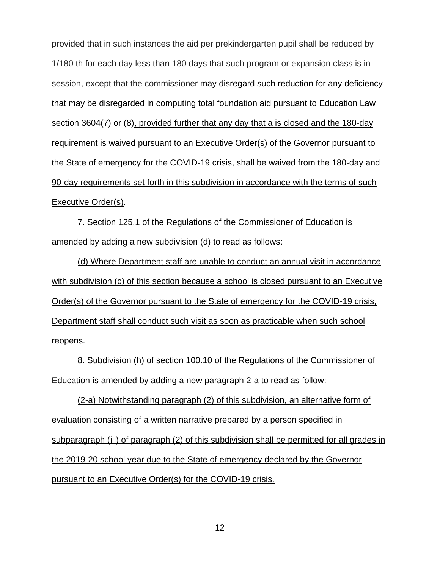provided that in such instances the aid per prekindergarten pupil shall be reduced by 1/180 th for each day less than 180 days that such program or expansion class is in session, except that the commissioner may disregard such reduction for any deficiency that may be disregarded in computing total foundation aid pursuant to Education Law section 3604(7) or (8), provided further that any day that a is closed and the 180-day requirement is waived pursuant to an Executive Order(s) of the Governor pursuant to the State of emergency for the COVID-19 crisis, shall be waived from the 180-day and 90-day requirements set forth in this subdivision in accordance with the terms of such Executive Order(s).

7. Section 125.1 of the Regulations of the Commissioner of Education is amended by adding a new subdivision (d) to read as follows:

(d) Where Department staff are unable to conduct an annual visit in accordance with subdivision (c) of this section because a school is closed pursuant to an Executive Order(s) of the Governor pursuant to the State of emergency for the COVID-19 crisis, Department staff shall conduct such visit as soon as practicable when such school reopens.

8. Subdivision (h) of section 100.10 of the Regulations of the Commissioner of Education is amended by adding a new paragraph 2-a to read as follow:

(2-a) Notwithstanding paragraph (2) of this subdivision, an alternative form of evaluation consisting of a written narrative prepared by a person specified in subparagraph (iii) of paragraph (2) of this subdivision shall be permitted for all grades in the 2019-20 school year due to the State of emergency declared by the Governor pursuant to an Executive Order(s) for the COVID-19 crisis.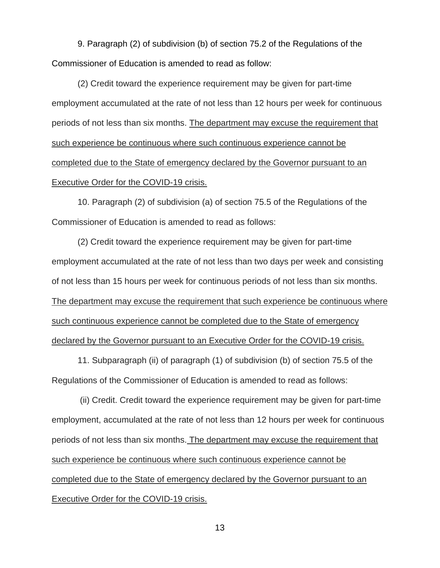9. Paragraph (2) of subdivision (b) of section 75.2 of the Regulations of the Commissioner of Education is amended to read as follow:

(2) Credit toward the experience requirement may be given for part-time employment accumulated at the rate of not less than 12 hours per week for continuous periods of not less than six months. The department may excuse the requirement that such experience be continuous where such continuous experience cannot be completed due to the State of emergency declared by the Governor pursuant to an Executive Order for the COVID-19 crisis.

10. Paragraph (2) of subdivision (a) of section 75.5 of the Regulations of the Commissioner of Education is amended to read as follows:

(2) Credit toward the experience requirement may be given for part-time employment accumulated at the rate of not less than two days per week and consisting of not less than 15 hours per week for continuous periods of not less than six months. The department may excuse the requirement that such experience be continuous where such continuous experience cannot be completed due to the State of emergency declared by the Governor pursuant to an Executive Order for the COVID-19 crisis.

11. Subparagraph (ii) of paragraph (1) of subdivision (b) of section 75.5 of the Regulations of the Commissioner of Education is amended to read as follows:

(ii) Credit. Credit toward the experience requirement may be given for part-time employment, accumulated at the rate of not less than 12 hours per week for continuous periods of not less than six months. The department may excuse the requirement that such experience be continuous where such continuous experience cannot be completed due to the State of emergency declared by the Governor pursuant to an Executive Order for the COVID-19 crisis.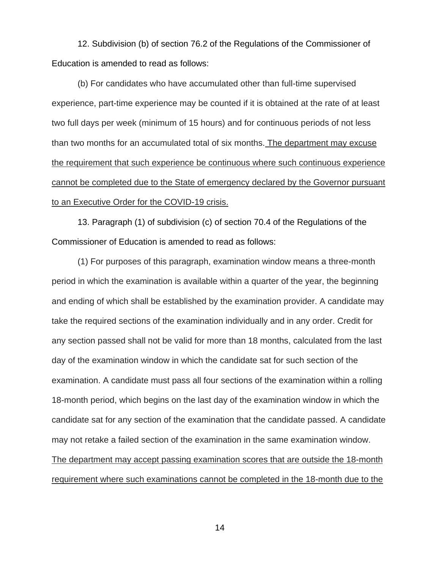12. Subdivision (b) of section 76.2 of the Regulations of the Commissioner of Education is amended to read as follows:

(b) For candidates who have accumulated other than full-time supervised experience, part-time experience may be counted if it is obtained at the rate of at least two full days per week (minimum of 15 hours) and for continuous periods of not less than two months for an accumulated total of six months. The department may excuse the requirement that such experience be continuous where such continuous experience cannot be completed due to the State of emergency declared by the Governor pursuant to an Executive Order for the COVID-19 crisis.

13. Paragraph (1) of subdivision (c) of section 70.4 of the Regulations of the Commissioner of Education is amended to read as follows:

(1) For purposes of this paragraph, examination window means a three-month period in which the examination is available within a quarter of the year, the beginning and ending of which shall be established by the examination provider. A candidate may take the required sections of the examination individually and in any order. Credit for any section passed shall not be valid for more than 18 months, calculated from the last day of the examination window in which the candidate sat for such section of the examination. A candidate must pass all four sections of the examination within a rolling 18-month period, which begins on the last day of the examination window in which the candidate sat for any section of the examination that the candidate passed. A candidate may not retake a failed section of the examination in the same examination window. The department may accept passing examination scores that are outside the 18-month requirement where such examinations cannot be completed in the 18-month due to the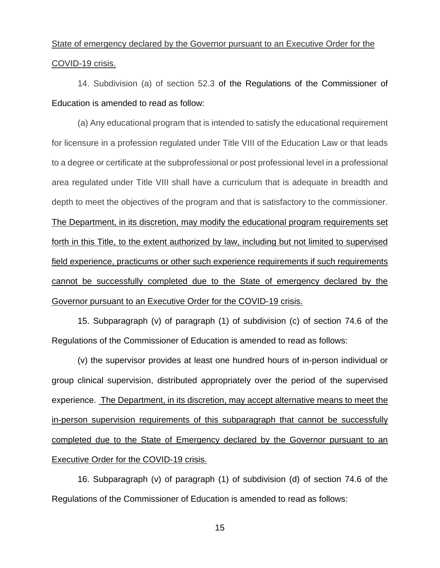## State of emergency declared by the Governor pursuant to an Executive Order for the COVID-19 crisis.

14. Subdivision (a) of section 52.3 of the Regulations of the Commissioner of Education is amended to read as follow:

(a) Any educational program that is intended to satisfy the educational requirement for licensure in a profession regulated under Title VIII of the Education Law or that leads to a degree or certificate at the subprofessional or post professional level in a professional area regulated under Title VIII shall have a curriculum that is adequate in breadth and depth to meet the objectives of the program and that is satisfactory to the commissioner. The Department, in its discretion, may modify the educational program requirements set forth in this Title, to the extent authorized by law, including but not limited to supervised field experience, practicums or other such experience requirements if such requirements cannot be successfully completed due to the State of emergency declared by the Governor pursuant to an Executive Order for the COVID-19 crisis.

15. Subparagraph (v) of paragraph (1) of subdivision (c) of section 74.6 of the Regulations of the Commissioner of Education is amended to read as follows:

(v) the supervisor provides at least one hundred hours of in-person individual or group clinical supervision, distributed appropriately over the period of the supervised experience. The Department, in its discretion, may accept alternative means to meet the in-person supervision requirements of this subparagraph that cannot be successfully completed due to the State of Emergency declared by the Governor pursuant to an Executive Order for the COVID-19 crisis.

16. Subparagraph (v) of paragraph (1) of subdivision (d) of section 74.6 of the Regulations of the Commissioner of Education is amended to read as follows: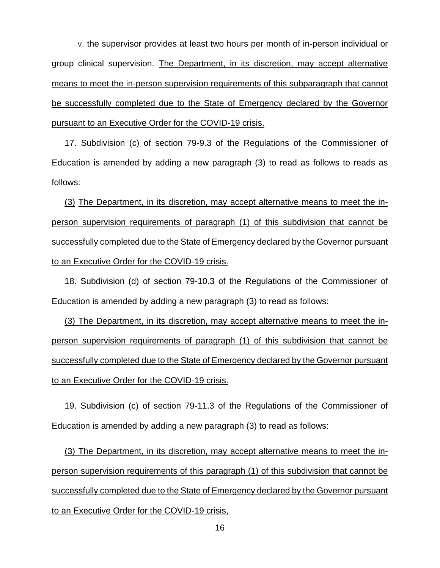v. the supervisor provides at least two hours per month of in-person individual or group clinical supervision. The Department, in its discretion, may accept alternative means to meet the in-person supervision requirements of this subparagraph that cannot be successfully completed due to the State of Emergency declared by the Governor pursuant to an Executive Order for the COVID-19 crisis.

17. Subdivision (c) of section 79-9.3 of the Regulations of the Commissioner of Education is amended by adding a new paragraph (3) to read as follows to reads as follows:

(3) The Department, in its discretion, may accept alternative means to meet the inperson supervision requirements of paragraph (1) of this subdivision that cannot be successfully completed due to the State of Emergency declared by the Governor pursuant to an Executive Order for the COVID-19 crisis.

18. Subdivision (d) of section 79-10.3 of the Regulations of the Commissioner of Education is amended by adding a new paragraph (3) to read as follows:

(3) The Department, in its discretion, may accept alternative means to meet the inperson supervision requirements of paragraph (1) of this subdivision that cannot be successfully completed due to the State of Emergency declared by the Governor pursuant to an Executive Order for the COVID-19 crisis.

19. Subdivision (c) of section 79-11.3 of the Regulations of the Commissioner of Education is amended by adding a new paragraph (3) to read as follows:

(3) The Department, in its discretion, may accept alternative means to meet the inperson supervision requirements of this paragraph (1) of this subdivision that cannot be successfully completed due to the State of Emergency declared by the Governor pursuant to an Executive Order for the COVID-19 crisis,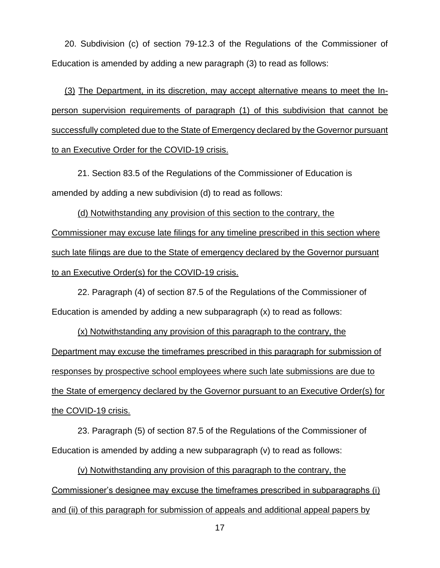20. Subdivision (c) of section 79-12.3 of the Regulations of the Commissioner of Education is amended by adding a new paragraph (3) to read as follows:

(3) The Department, in its discretion, may accept alternative means to meet the Inperson supervision requirements of paragraph (1) of this subdivision that cannot be successfully completed due to the State of Emergency declared by the Governor pursuant to an Executive Order for the COVID-19 crisis.

21. Section 83.5 of the Regulations of the Commissioner of Education is amended by adding a new subdivision (d) to read as follows:

(d) Notwithstanding any provision of this section to the contrary, the Commissioner may excuse late filings for any timeline prescribed in this section where such late filings are due to the State of emergency declared by the Governor pursuant to an Executive Order(s) for the COVID-19 crisis.

22. Paragraph (4) of section 87.5 of the Regulations of the Commissioner of Education is amended by adding a new subparagraph (x) to read as follows:

(x) Notwithstanding any provision of this paragraph to the contrary, the Department may excuse the timeframes prescribed in this paragraph for submission of responses by prospective school employees where such late submissions are due to the State of emergency declared by the Governor pursuant to an Executive Order(s) for the COVID-19 crisis.

23. Paragraph (5) of section 87.5 of the Regulations of the Commissioner of Education is amended by adding a new subparagraph (v) to read as follows:

(v) Notwithstanding any provision of this paragraph to the contrary, the Commissioner's designee may excuse the timeframes prescribed in subparagraphs (i) and (ii) of this paragraph for submission of appeals and additional appeal papers by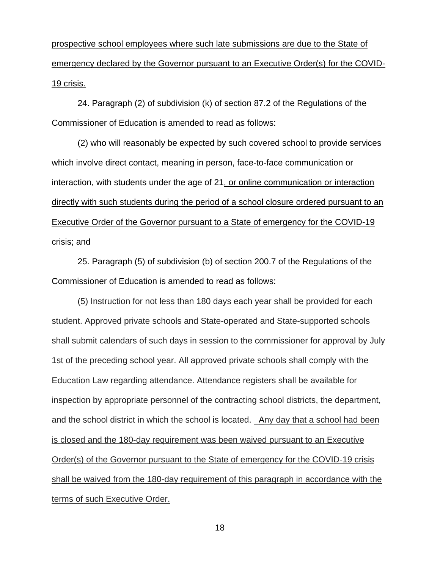prospective school employees where such late submissions are due to the State of emergency declared by the Governor pursuant to an Executive Order(s) for the COVID-19 crisis.

24. Paragraph (2) of subdivision (k) of section 87.2 of the Regulations of the Commissioner of Education is amended to read as follows:

(2) who will reasonably be expected by such covered school to provide services which involve direct contact, meaning in person, face-to-face communication or interaction, with students under the age of 21, or online communication or interaction directly with such students during the period of a school closure ordered pursuant to an Executive Order of the Governor pursuant to a State of emergency for the COVID-19 crisis; and

25. Paragraph (5) of subdivision (b) of section 200.7 of the Regulations of the Commissioner of Education is amended to read as follows:

(5) Instruction for not less than 180 days each year shall be provided for each student. Approved private schools and State-operated and State-supported schools shall submit calendars of such days in session to the commissioner for approval by July 1st of the preceding school year. All approved private schools shall comply with the Education Law regarding attendance. Attendance registers shall be available for inspection by appropriate personnel of the contracting school districts, the department, and the school district in which the school is located. Any day that a school had been is closed and the 180-day requirement was been waived pursuant to an Executive Order(s) of the Governor pursuant to the State of emergency for the COVID-19 crisis shall be waived from the 180-day requirement of this paragraph in accordance with the terms of such Executive Order.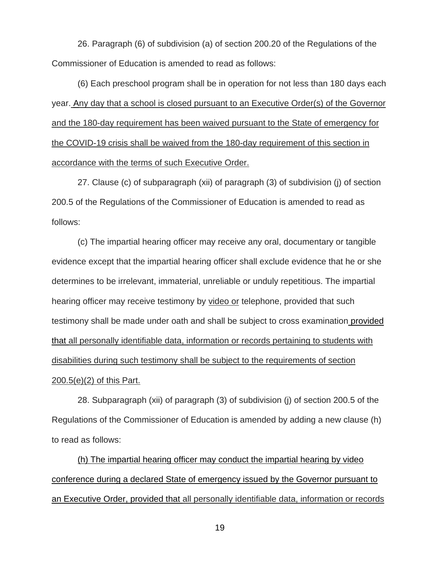26. Paragraph (6) of subdivision (a) of section 200.20 of the Regulations of the Commissioner of Education is amended to read as follows:

(6) Each preschool program shall be in operation for not less than 180 days each year. Any day that a school is closed pursuant to an Executive Order(s) of the Governor and the 180-day requirement has been waived pursuant to the State of emergency for the COVID-19 crisis shall be waived from the 180-day requirement of this section in accordance with the terms of such Executive Order.

27. Clause (c) of subparagraph (xii) of paragraph (3) of subdivision (j) of section 200.5 of the Regulations of the Commissioner of Education is amended to read as follows:

(c) The impartial hearing officer may receive any oral, documentary or tangible evidence except that the impartial hearing officer shall exclude evidence that he or she determines to be irrelevant, immaterial, unreliable or unduly repetitious. The impartial hearing officer may receive testimony by video or telephone, provided that such testimony shall be made under oath and shall be subject to cross examination provided that all personally identifiable data, information or records pertaining to students with disabilities during such testimony shall be subject to the requirements of section 200.5(e)(2) of this Part.

28. Subparagraph (xii) of paragraph (3) of subdivision (j) of section 200.5 of the Regulations of the Commissioner of Education is amended by adding a new clause (h) to read as follows:

(h) The impartial hearing officer may conduct the impartial hearing by video conference during a declared State of emergency issued by the Governor pursuant to an Executive Order, provided that all personally identifiable data, information or records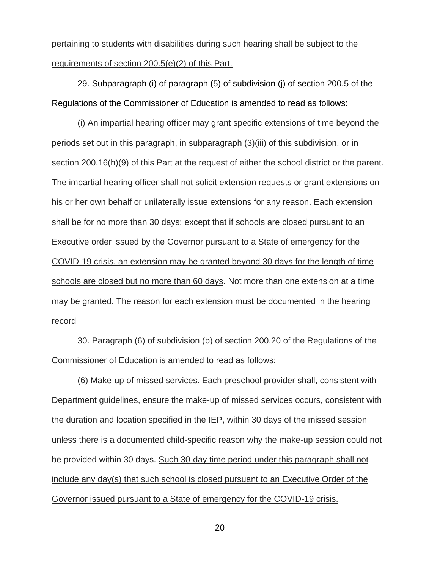## pertaining to students with disabilities during such hearing shall be subject to the requirements of section 200.5(e)(2) of this Part.

29. Subparagraph (i) of paragraph (5) of subdivision (j) of section 200.5 of the Regulations of the Commissioner of Education is amended to read as follows:

(i) An impartial hearing officer may grant specific extensions of time beyond the periods set out in this paragraph, in subparagraph (3)(iii) of this subdivision, or in section 200.16(h)(9) of this Part at the request of either the school district or the parent. The impartial hearing officer shall not solicit extension requests or grant extensions on his or her own behalf or unilaterally issue extensions for any reason. Each extension shall be for no more than 30 days; except that if schools are closed pursuant to an Executive order issued by the Governor pursuant to a State of emergency for the COVID-19 crisis, an extension may be granted beyond 30 days for the length of time schools are closed but no more than 60 days. Not more than one extension at a time may be granted. The reason for each extension must be documented in the hearing record

30. Paragraph (6) of subdivision (b) of section 200.20 of the Regulations of the Commissioner of Education is amended to read as follows:

(6) Make-up of missed services. Each preschool provider shall, consistent with Department guidelines, ensure the make-up of missed services occurs, consistent with the duration and location specified in the IEP, within 30 days of the missed session unless there is a documented child-specific reason why the make-up session could not be provided within 30 days. Such 30-day time period under this paragraph shall not include any day(s) that such school is closed pursuant to an Executive Order of the Governor issued pursuant to a State of emergency for the COVID-19 crisis.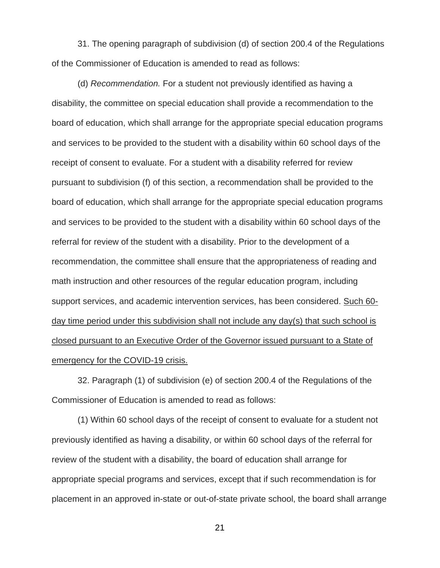31. The opening paragraph of subdivision (d) of section 200.4 of the Regulations of the Commissioner of Education is amended to read as follows:

(d) *Recommendation.* For a student not previously identified as having a disability, the committee on special education shall provide a recommendation to the board of education, which shall arrange for the appropriate special education programs and services to be provided to the student with a disability within 60 school days of the receipt of consent to evaluate. For a student with a disability referred for review pursuant to subdivision (f) of this section, a recommendation shall be provided to the board of education, which shall arrange for the appropriate special education programs and services to be provided to the student with a disability within 60 school days of the referral for review of the student with a disability. Prior to the development of a recommendation, the committee shall ensure that the appropriateness of reading and math instruction and other resources of the regular education program, including support services, and academic intervention services, has been considered. Such 60 day time period under this subdivision shall not include any day(s) that such school is closed pursuant to an Executive Order of the Governor issued pursuant to a State of emergency for the COVID-19 crisis.

32. Paragraph (1) of subdivision (e) of section 200.4 of the Regulations of the Commissioner of Education is amended to read as follows:

(1) Within 60 school days of the receipt of consent to evaluate for a student not previously identified as having a disability, or within 60 school days of the referral for review of the student with a disability, the board of education shall arrange for appropriate special programs and services, except that if such recommendation is for placement in an approved in-state or out-of-state private school, the board shall arrange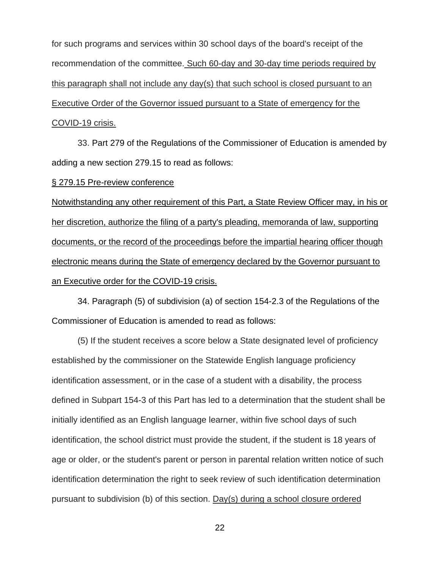for such programs and services within 30 school days of the board's receipt of the recommendation of the committee. Such 60-day and 30-day time periods required by this paragraph shall not include any day(s) that such school is closed pursuant to an Executive Order of the Governor issued pursuant to a State of emergency for the COVID-19 crisis.

33. Part 279 of the Regulations of the Commissioner of Education is amended by adding a new section 279.15 to read as follows:

§ 279.15 Pre-review conference

Notwithstanding any other requirement of this Part, a State Review Officer may, in his or her discretion, authorize the filing of a party's pleading, memoranda of law, supporting documents, or the record of the proceedings before the impartial hearing officer though electronic means during the State of emergency declared by the Governor pursuant to an Executive order for the COVID-19 crisis.

34. Paragraph (5) of subdivision (a) of section 154-2.3 of the Regulations of the Commissioner of Education is amended to read as follows:

(5) If the student receives a score below a State designated level of proficiency established by the commissioner on the Statewide English language proficiency identification assessment, or in the case of a student with a disability, the process defined in Subpart 154-3 of this Part has led to a determination that the student shall be initially identified as an English language learner, within five school days of such identification, the school district must provide the student, if the student is 18 years of age or older, or the student's parent or person in parental relation written notice of such identification determination the right to seek review of such identification determination pursuant to subdivision (b) of this section. Day(s) during a school closure ordered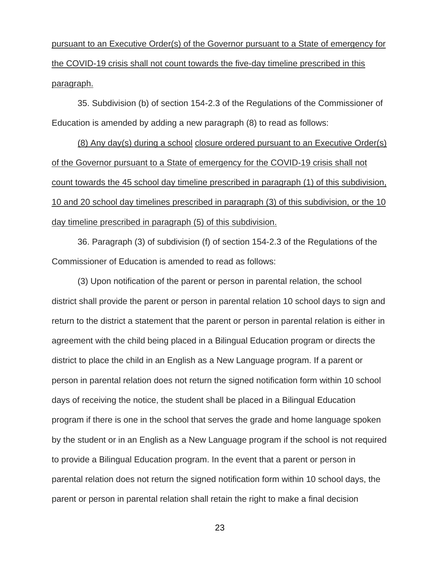pursuant to an Executive Order(s) of the Governor pursuant to a State of emergency for the COVID-19 crisis shall not count towards the five-day timeline prescribed in this paragraph.

35. Subdivision (b) of section 154-2.3 of the Regulations of the Commissioner of Education is amended by adding a new paragraph (8) to read as follows:

(8) Any day(s) during a school closure ordered pursuant to an Executive Order(s) of the Governor pursuant to a State of emergency for the COVID-19 crisis shall not count towards the 45 school day timeline prescribed in paragraph (1) of this subdivision, 10 and 20 school day timelines prescribed in paragraph (3) of this subdivision, or the 10 day timeline prescribed in paragraph (5) of this subdivision.

36. Paragraph (3) of subdivision (f) of section 154-2.3 of the Regulations of the Commissioner of Education is amended to read as follows:

(3) Upon notification of the parent or person in parental relation, the school district shall provide the parent or person in parental relation 10 school days to sign and return to the district a statement that the parent or person in parental relation is either in agreement with the child being placed in a Bilingual Education program or directs the district to place the child in an English as a New Language program. If a parent or person in parental relation does not return the signed notification form within 10 school days of receiving the notice, the student shall be placed in a Bilingual Education program if there is one in the school that serves the grade and home language spoken by the student or in an English as a New Language program if the school is not required to provide a Bilingual Education program. In the event that a parent or person in parental relation does not return the signed notification form within 10 school days, the parent or person in parental relation shall retain the right to make a final decision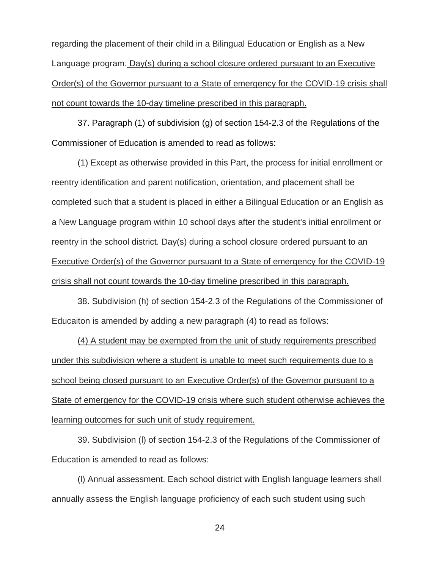regarding the placement of their child in a Bilingual Education or English as a New Language program. Day(s) during a school closure ordered pursuant to an Executive Order(s) of the Governor pursuant to a State of emergency for the COVID-19 crisis shall not count towards the 10-day timeline prescribed in this paragraph.

37. Paragraph (1) of subdivision (g) of section 154-2.3 of the Regulations of the Commissioner of Education is amended to read as follows:

(1) Except as otherwise provided in this Part, the process for initial enrollment or reentry identification and parent notification, orientation, and placement shall be completed such that a student is placed in either a Bilingual Education or an English as a New Language program within 10 school days after the student's initial enrollment or reentry in the school district. Day(s) during a school closure ordered pursuant to an Executive Order(s) of the Governor pursuant to a State of emergency for the COVID-19 crisis shall not count towards the 10-day timeline prescribed in this paragraph.

38. Subdivision (h) of section 154-2.3 of the Regulations of the Commissioner of Educaiton is amended by adding a new paragraph (4) to read as follows:

(4) A student may be exempted from the unit of study requirements prescribed under this subdivision where a student is unable to meet such requirements due to a school being closed pursuant to an Executive Order(s) of the Governor pursuant to a State of emergency for the COVID-19 crisis where such student otherwise achieves the learning outcomes for such unit of study requirement.

39. Subdivision (l) of section 154-2.3 of the Regulations of the Commissioner of Education is amended to read as follows:

(l) Annual assessment. Each school district with English language learners shall annually assess the English language proficiency of each such student using such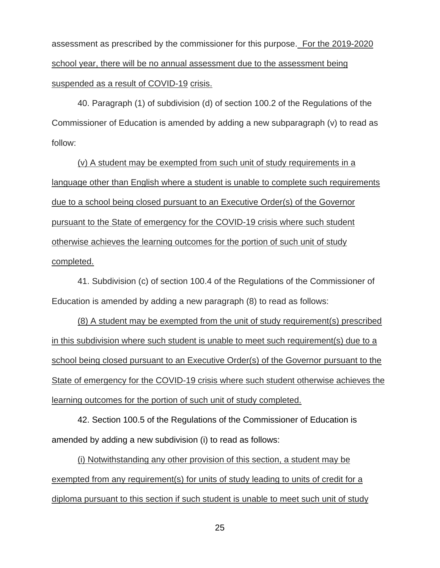assessment as prescribed by the commissioner for this purpose. For the 2019-2020 school year, there will be no annual assessment due to the assessment being suspended as a result of COVID-19 crisis.

40. Paragraph (1) of subdivision (d) of section 100.2 of the Regulations of the Commissioner of Education is amended by adding a new subparagraph (v) to read as follow:

(v) A student may be exempted from such unit of study requirements in a language other than English where a student is unable to complete such requirements due to a school being closed pursuant to an Executive Order(s) of the Governor pursuant to the State of emergency for the COVID-19 crisis where such student otherwise achieves the learning outcomes for the portion of such unit of study completed.

41. Subdivision (c) of section 100.4 of the Regulations of the Commissioner of Education is amended by adding a new paragraph (8) to read as follows:

(8) A student may be exempted from the unit of study requirement(s) prescribed in this subdivision where such student is unable to meet such requirement(s) due to a school being closed pursuant to an Executive Order(s) of the Governor pursuant to the State of emergency for the COVID-19 crisis where such student otherwise achieves the learning outcomes for the portion of such unit of study completed.

42. Section 100.5 of the Regulations of the Commissioner of Education is amended by adding a new subdivision (i) to read as follows:

(i) Notwithstanding any other provision of this section, a student may be exempted from any requirement(s) for units of study leading to units of credit for a diploma pursuant to this section if such student is unable to meet such unit of study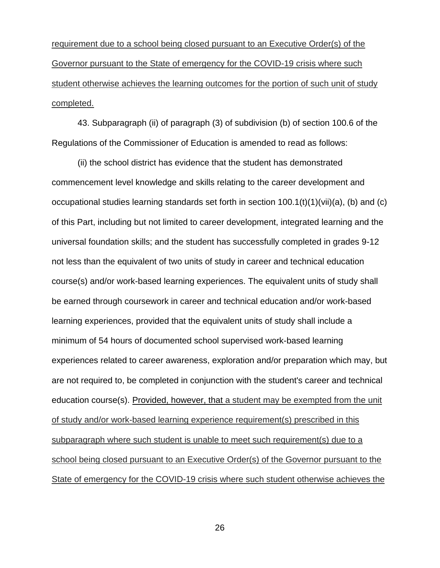requirement due to a school being closed pursuant to an Executive Order(s) of the Governor pursuant to the State of emergency for the COVID-19 crisis where such student otherwise achieves the learning outcomes for the portion of such unit of study completed.

43. Subparagraph (ii) of paragraph (3) of subdivision (b) of section 100.6 of the Regulations of the Commissioner of Education is amended to read as follows:

(ii) the school district has evidence that the student has demonstrated commencement level knowledge and skills relating to the career development and occupational studies learning standards set forth in section 100.1(t)(1)(vii)(a), (b) and (c) of this Part, including but not limited to career development, integrated learning and the universal foundation skills; and the student has successfully completed in grades 9-12 not less than the equivalent of two units of study in career and technical education course(s) and/or work-based learning experiences. The equivalent units of study shall be earned through coursework in career and technical education and/or work-based learning experiences, provided that the equivalent units of study shall include a minimum of 54 hours of documented school supervised work-based learning experiences related to career awareness, exploration and/or preparation which may, but are not required to, be completed in conjunction with the student's career and technical education course(s). Provided, however, that a student may be exempted from the unit of study and/or work-based learning experience requirement(s) prescribed in this subparagraph where such student is unable to meet such requirement(s) due to a school being closed pursuant to an Executive Order(s) of the Governor pursuant to the State of emergency for the COVID-19 crisis where such student otherwise achieves the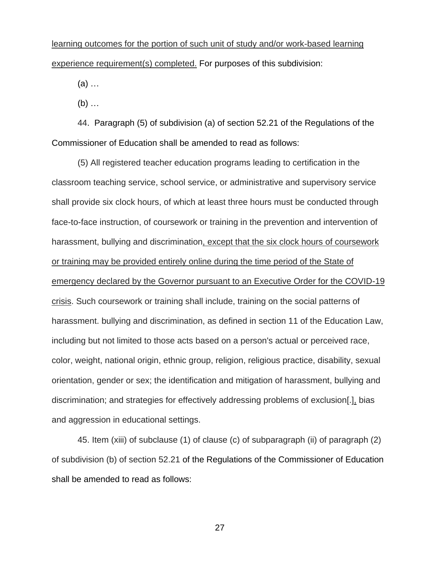learning outcomes for the portion of such unit of study and/or work-based learning experience requirement(s) completed. For purposes of this subdivision:

(a) …

(b) …

44. Paragraph (5) of subdivision (a) of section 52.21 of the Regulations of the Commissioner of Education shall be amended to read as follows:

(5) All registered teacher education programs leading to certification in the classroom teaching service, school service, or administrative and supervisory service shall provide six clock hours, of which at least three hours must be conducted through face-to-face instruction, of coursework or training in the prevention and intervention of harassment, bullying and discrimination, except that the six clock hours of coursework or training may be provided entirely online during the time period of the State of emergency declared by the Governor pursuant to an Executive Order for the COVID-19 crisis. Such coursework or training shall include, training on the social patterns of harassment. bullying and discrimination, as defined in section 11 of the Education Law, including but not limited to those acts based on a person's actual or perceived race, color, weight, national origin, ethnic group, religion, religious practice, disability, sexual orientation, gender or sex; the identification and mitigation of harassment, bullying and discrimination; and strategies for effectively addressing problems of exclusion[.], bias and aggression in educational settings.

45. Item (xiii) of subclause (1) of clause (c) of subparagraph (ii) of paragraph (2) of subdivision (b) of section 52.21 of the Regulations of the Commissioner of Education shall be amended to read as follows: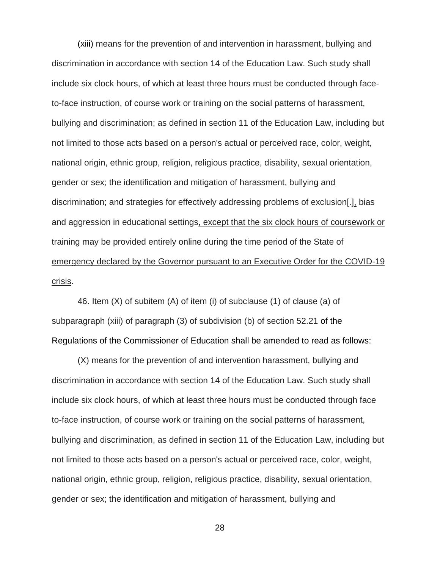(xiii) means for the prevention of and intervention in harassment, bullying and discrimination in accordance with section 14 of the Education Law. Such study shall include six clock hours, of which at least three hours must be conducted through faceto-face instruction, of course work or training on the social patterns of harassment, bullying and discrimination; as defined in section 11 of the Education Law, including but not limited to those acts based on a person's actual or perceived race, color, weight, national origin, ethnic group, religion, religious practice, disability, sexual orientation, gender or sex; the identification and mitigation of harassment, bullying and discrimination; and strategies for effectively addressing problems of exclusion[.], bias and aggression in educational settings, except that the six clock hours of coursework or training may be provided entirely online during the time period of the State of emergency declared by the Governor pursuant to an Executive Order for the COVID-19 crisis.

46. Item (X) of subitem (A) of item (i) of subclause (1) of clause (a) of subparagraph (xiii) of paragraph (3) of subdivision (b) of section 52.21 of the Regulations of the Commissioner of Education shall be amended to read as follows:

(X) means for the prevention of and intervention harassment, bullying and discrimination in accordance with section 14 of the Education Law. Such study shall include six clock hours, of which at least three hours must be conducted through face to-face instruction, of course work or training on the social patterns of harassment, bullying and discrimination, as defined in section 11 of the Education Law, including but not limited to those acts based on a person's actual or perceived race, color, weight, national origin, ethnic group, religion, religious practice, disability, sexual orientation, gender or sex; the identification and mitigation of harassment, bullying and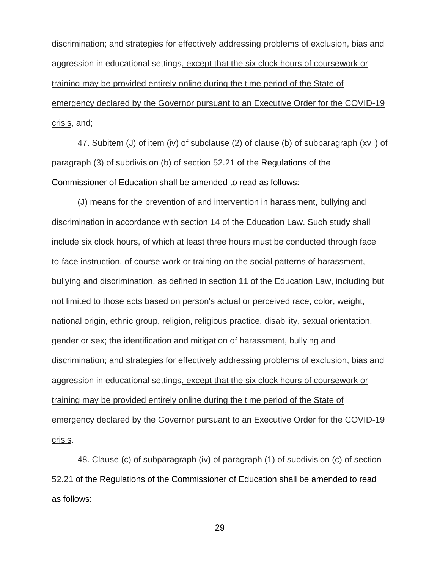discrimination; and strategies for effectively addressing problems of exclusion, bias and aggression in educational settings, except that the six clock hours of coursework or training may be provided entirely online during the time period of the State of emergency declared by the Governor pursuant to an Executive Order for the COVID-19 crisis, and;

47. Subitem (J) of item (iv) of subclause (2) of clause (b) of subparagraph (xvii) of paragraph (3) of subdivision (b) of section 52.21 of the Regulations of the Commissioner of Education shall be amended to read as follows:

(J) means for the prevention of and intervention in harassment, bullying and discrimination in accordance with section 14 of the Education Law. Such study shall include six clock hours, of which at least three hours must be conducted through face to-face instruction, of course work or training on the social patterns of harassment, bullying and discrimination, as defined in section 11 of the Education Law, including but not limited to those acts based on person's actual or perceived race, color, weight, national origin, ethnic group, religion, religious practice, disability, sexual orientation, gender or sex; the identification and mitigation of harassment, bullying and discrimination; and strategies for effectively addressing problems of exclusion, bias and aggression in educational settings, except that the six clock hours of coursework or training may be provided entirely online during the time period of the State of emergency declared by the Governor pursuant to an Executive Order for the COVID-19 crisis.

48. Clause (c) of subparagraph (iv) of paragraph (1) of subdivision (c) of section 52.21 of the Regulations of the Commissioner of Education shall be amended to read as follows: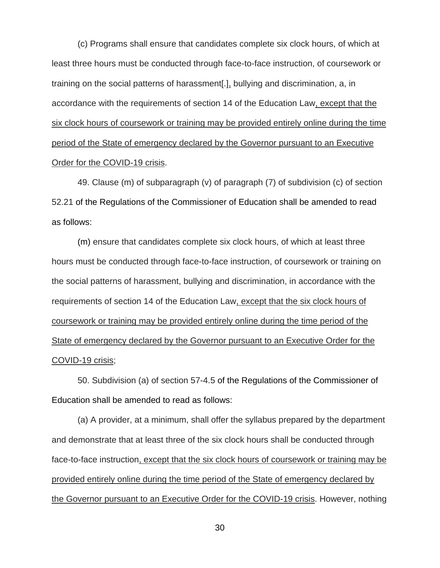(c) Programs shall ensure that candidates complete six clock hours, of which at least three hours must be conducted through face-to-face instruction, of coursework or training on the social patterns of harassment[.], bullying and discrimination, a, in accordance with the requirements of section 14 of the Education Law, except that the six clock hours of coursework or training may be provided entirely online during the time period of the State of emergency declared by the Governor pursuant to an Executive Order for the COVID-19 crisis.

49. Clause (m) of subparagraph (v) of paragraph (7) of subdivision (c) of section 52.21 of the Regulations of the Commissioner of Education shall be amended to read as follows:

(m) ensure that candidates complete six clock hours, of which at least three hours must be conducted through face-to-face instruction, of coursework or training on the social patterns of harassment, bullying and discrimination, in accordance with the requirements of section 14 of the Education Law, except that the six clock hours of coursework or training may be provided entirely online during the time period of the State of emergency declared by the Governor pursuant to an Executive Order for the COVID-19 crisis;

50. Subdivision (a) of section 57-4.5 of the Regulations of the Commissioner of Education shall be amended to read as follows:

(a) A provider, at a minimum, shall offer the syllabus prepared by the department and demonstrate that at least three of the six clock hours shall be conducted through face-to-face instruction, except that the six clock hours of coursework or training may be provided entirely online during the time period of the State of emergency declared by the Governor pursuant to an Executive Order for the COVID-19 crisis. However, nothing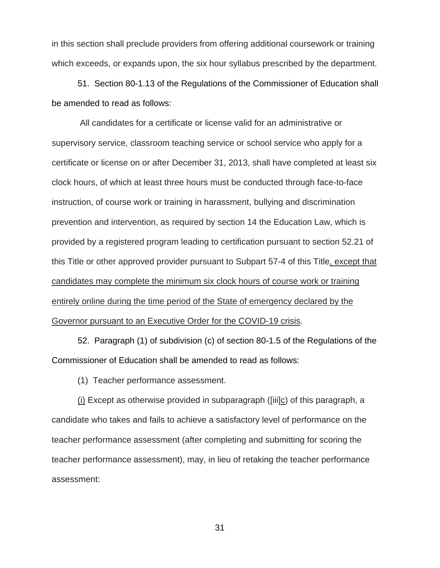in this section shall preclude providers from offering additional coursework or training which exceeds, or expands upon, the six hour syllabus prescribed by the department.

51. Section 80-1.13 of the Regulations of the Commissioner of Education shall be amended to read as follows:

All candidates for a certificate or license valid for an administrative or supervisory service, classroom teaching service or school service who apply for a certificate or license on or after December 31, 2013, shall have completed at least six clock hours, of which at least three hours must be conducted through face-to-face instruction, of course work or training in harassment, bullying and discrimination prevention and intervention, as required by section 14 the Education Law, which is provided by a registered program leading to certification pursuant to section 52.21 of this Title or other approved provider pursuant to Subpart 57-4 of this Title, except that candidates may complete the minimum six clock hours of course work or training entirely online during the time period of the State of emergency declared by the Governor pursuant to an Executive Order for the COVID-19 crisis.

52. Paragraph (1) of subdivision (c) of section 80-1.5 of the Regulations of the Commissioner of Education shall be amended to read as follows:

(1) Teacher performance assessment.

(i) Except as otherwise provided in subparagraph ([iii]c) of this paragraph, a candidate who takes and fails to achieve a satisfactory level of performance on the teacher performance assessment (after completing and submitting for scoring the teacher performance assessment), may, in lieu of retaking the teacher performance assessment: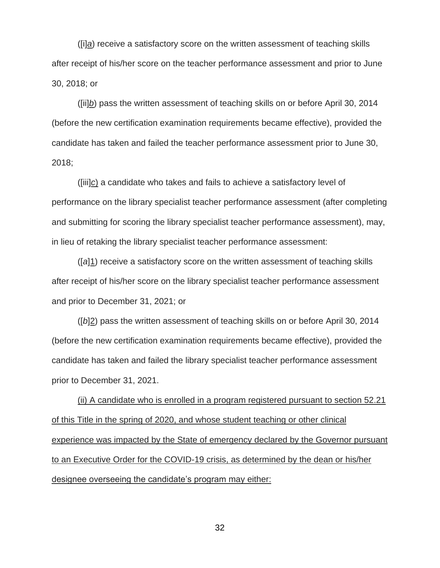([i]*a*) receive a satisfactory score on the written assessment of teaching skills after receipt of his/her score on the teacher performance assessment and prior to June 30, 2018; or

([ii]*b*) pass the written assessment of teaching skills on or before April 30, 2014 (before the new certification examination requirements became effective), provided the candidate has taken and failed the teacher performance assessment prior to June 30, 2018;

([iii]*c*) a candidate who takes and fails to achieve a satisfactory level of performance on the library specialist teacher performance assessment (after completing and submitting for scoring the library specialist teacher performance assessment), may, in lieu of retaking the library specialist teacher performance assessment:

([*a*]1) receive a satisfactory score on the written assessment of teaching skills after receipt of his/her score on the library specialist teacher performance assessment and prior to December 31, 2021; or

([*b*]2) pass the written assessment of teaching skills on or before April 30, 2014 (before the new certification examination requirements became effective), provided the candidate has taken and failed the library specialist teacher performance assessment prior to December 31, 2021.

(ii) A candidate who is enrolled in a program registered pursuant to section 52.21 of this Title in the spring of 2020, and whose student teaching or other clinical experience was impacted by the State of emergency declared by the Governor pursuant to an Executive Order for the COVID-19 crisis, as determined by the dean or his/her designee overseeing the candidate's program may either: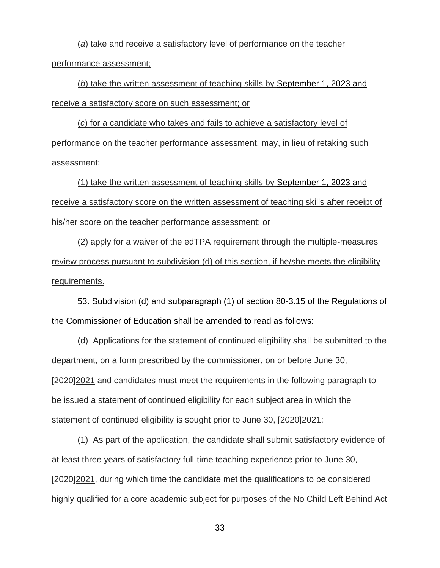(*a*) take and receive a satisfactory level of performance on the teacher performance assessment;

(*b*) take the written assessment of teaching skills by September 1, 2023 and receive a satisfactory score on such assessment; or

(*c*) for a candidate who takes and fails to achieve a satisfactory level of performance on the teacher performance assessment, may, in lieu of retaking such assessment:

(1) take the written assessment of teaching skills by September 1, 2023 and receive a satisfactory score on the written assessment of teaching skills after receipt of his/her score on the teacher performance assessment; or

(2) apply for a waiver of the edTPA requirement through the multiple-measures review process pursuant to subdivision (d) of this section, if he/she meets the eligibility requirements.

53. Subdivision (d) and subparagraph (1) of section 80-3.15 of the Regulations of the Commissioner of Education shall be amended to read as follows:

(d) Applications for the statement of continued eligibility shall be submitted to the department, on a form prescribed by the commissioner, on or before June 30, [2020]2021 and candidates must meet the requirements in the following paragraph to be issued a statement of continued eligibility for each subject area in which the statement of continued eligibility is sought prior to June 30, [2020]2021:

(1) As part of the application, the candidate shall submit satisfactory evidence of at least three years of satisfactory full-time teaching experience prior to June 30, [2020]2021, during which time the candidate met the qualifications to be considered highly qualified for a core academic subject for purposes of the No Child Left Behind Act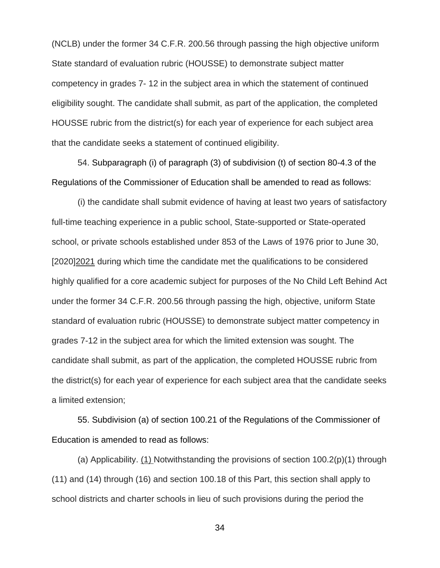(NCLB) under the former 34 C.F.R. 200.56 through passing the high objective uniform State standard of evaluation rubric (HOUSSE) to demonstrate subject matter competency in grades 7- 12 in the subject area in which the statement of continued eligibility sought. The candidate shall submit, as part of the application, the completed HOUSSE rubric from the district(s) for each year of experience for each subject area that the candidate seeks a statement of continued eligibility.

54. Subparagraph (i) of paragraph (3) of subdivision (t) of section 80-4.3 of the Regulations of the Commissioner of Education shall be amended to read as follows:

(i) the candidate shall submit evidence of having at least two years of satisfactory full-time teaching experience in a public school, State-supported or State-operated school, or private schools established under 853 of the Laws of 1976 prior to June 30, [2020]2021 during which time the candidate met the qualifications to be considered highly qualified for a core academic subject for purposes of the No Child Left Behind Act under the former 34 C.F.R. 200.56 through passing the high, objective, uniform State standard of evaluation rubric (HOUSSE) to demonstrate subject matter competency in grades 7-12 in the subject area for which the limited extension was sought. The candidate shall submit, as part of the application, the completed HOUSSE rubric from the district(s) for each year of experience for each subject area that the candidate seeks a limited extension;

55. Subdivision (a) of section 100.21 of the Regulations of the Commissioner of Education is amended to read as follows:

(a) Applicability. (1) Notwithstanding the provisions of section  $100.2(p)(1)$  through (11) and (14) through (16) and section 100.18 of this Part, this section shall apply to school districts and charter schools in lieu of such provisions during the period the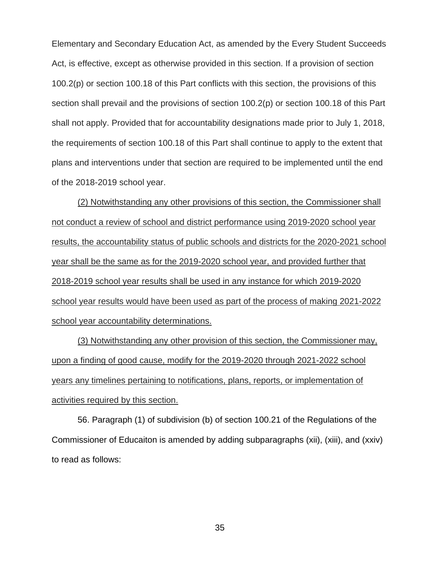Elementary and Secondary Education Act, as amended by the Every Student Succeeds Act, is effective, except as otherwise provided in this section. If a provision of section 100.2(p) or section 100.18 of this Part conflicts with this section, the provisions of this section shall prevail and the provisions of section 100.2(p) or section 100.18 of this Part shall not apply. Provided that for accountability designations made prior to July 1, 2018, the requirements of section 100.18 of this Part shall continue to apply to the extent that plans and interventions under that section are required to be implemented until the end of the 2018-2019 school year.

(2) Notwithstanding any other provisions of this section, the Commissioner shall not conduct a review of school and district performance using 2019-2020 school year results, the accountability status of public schools and districts for the 2020-2021 school year shall be the same as for the 2019-2020 school year, and provided further that 2018-2019 school year results shall be used in any instance for which 2019-2020 school year results would have been used as part of the process of making 2021-2022 school year accountability determinations.

(3) Notwithstanding any other provision of this section, the Commissioner may, upon a finding of good cause, modify for the 2019-2020 through 2021-2022 school years any timelines pertaining to notifications, plans, reports, or implementation of activities required by this section.

56. Paragraph (1) of subdivision (b) of section 100.21 of the Regulations of the Commissioner of Educaiton is amended by adding subparagraphs (xii), (xiii), and (xxiv) to read as follows: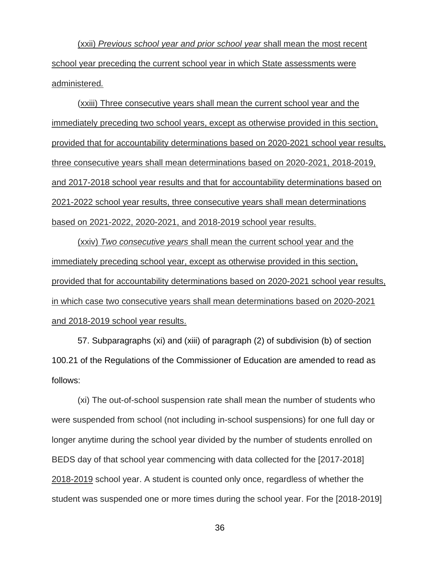(xxii) *Previous school year and prior school year* shall mean the most recent school year preceding the current school year in which State assessments were administered*.*

(xxiii) Three consecutive years shall mean the current school year and the immediately preceding two school years, except as otherwise provided in this section, provided that for accountability determinations based on 2020-2021 school year results, three consecutive years shall mean determinations based on 2020-2021, 2018-2019, and 2017-2018 school year results and that for accountability determinations based on 2021-2022 school year results, three consecutive years shall mean determinations based on 2021-2022, 2020-2021, and 2018-2019 school year results.

(xxiv) *Two consecutive years* shall mean the current school year and the immediately preceding school year, except as otherwise provided in this section, provided that for accountability determinations based on 2020-2021 school year results, in which case two consecutive years shall mean determinations based on 2020-2021 and 2018-2019 school year results.

57. Subparagraphs (xi) and (xiii) of paragraph (2) of subdivision (b) of section 100.21 of the Regulations of the Commissioner of Education are amended to read as follows:

(xi) The out-of-school suspension rate shall mean the number of students who were suspended from school (not including in-school suspensions) for one full day or longer anytime during the school year divided by the number of students enrolled on BEDS day of that school year commencing with data collected for the [2017-2018] 2018-2019 school year. A student is counted only once, regardless of whether the student was suspended one or more times during the school year. For the [2018-2019]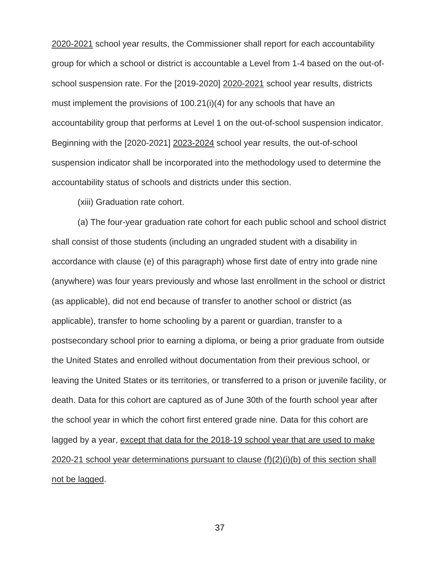2020-2021 school year results, the Commissioner shall report for each accountability group for which a school or district is accountable a Level from 1-4 based on the out-ofschool suspension rate. For the [2019-2020] 2020-2021 school year results, districts must implement the provisions of 100.21(i)(4) for any schools that have an accountability group that performs at Level 1 on the out-of-school suspension indicator. Beginning with the [2020-2021] 2023-2024 school year results, the out-of-school suspension indicator shall be incorporated into the methodology used to determine the accountability status of schools and districts under this section.

(xiii) Graduation rate cohort.

(a) The four-year graduation rate cohort for each public school and school district shall consist of those students (including an ungraded student with a disability in accordance with clause (e) of this paragraph) whose first date of entry into grade nine (anywhere) was four years previously and whose last enrollment in the school or district (as applicable), did not end because of transfer to another school or district (as applicable), transfer to home schooling by a parent or guardian, transfer to a postsecondary school prior to earning a diploma, or being a prior graduate from outside the United States and enrolled without documentation from their previous school, or leaving the United States or its territories, or transferred to a prison or juvenile facility, or death. Data for this cohort are captured as of June 30th of the fourth school year after the school year in which the cohort first entered grade nine. Data for this cohort are lagged by a year, except that data for the 2018-19 school year that are used to make 2020-21 school year determinations pursuant to clause (f)(2)(i)(b) of this section shall not be lagged.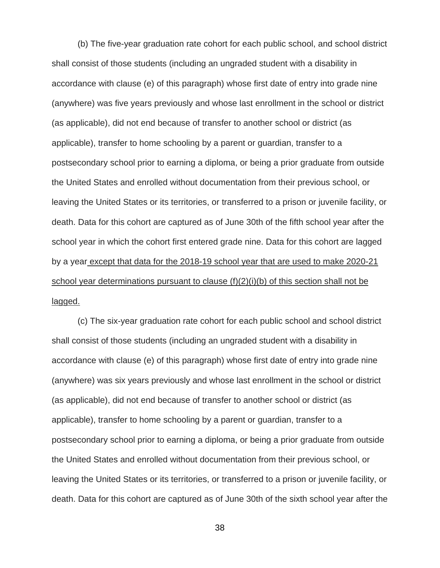(b) The five-year graduation rate cohort for each public school, and school district shall consist of those students (including an ungraded student with a disability in accordance with clause (e) of this paragraph) whose first date of entry into grade nine (anywhere) was five years previously and whose last enrollment in the school or district (as applicable), did not end because of transfer to another school or district (as applicable), transfer to home schooling by a parent or guardian, transfer to a postsecondary school prior to earning a diploma, or being a prior graduate from outside the United States and enrolled without documentation from their previous school, or leaving the United States or its territories, or transferred to a prison or juvenile facility, or death. Data for this cohort are captured as of June 30th of the fifth school year after the school year in which the cohort first entered grade nine. Data for this cohort are lagged by a year except that data for the 2018-19 school year that are used to make 2020-21 school year determinations pursuant to clause (f)(2)(i)(b) of this section shall not be lagged.

(c) The six-year graduation rate cohort for each public school and school district shall consist of those students (including an ungraded student with a disability in accordance with clause (e) of this paragraph) whose first date of entry into grade nine (anywhere) was six years previously and whose last enrollment in the school or district (as applicable), did not end because of transfer to another school or district (as applicable), transfer to home schooling by a parent or guardian, transfer to a postsecondary school prior to earning a diploma, or being a prior graduate from outside the United States and enrolled without documentation from their previous school, or leaving the United States or its territories, or transferred to a prison or juvenile facility, or death. Data for this cohort are captured as of June 30th of the sixth school year after the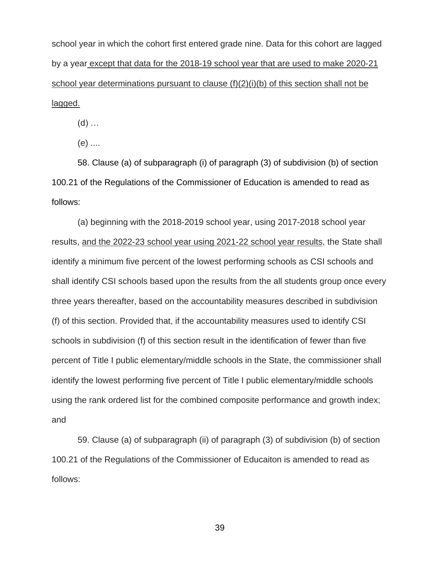school year in which the cohort first entered grade nine. Data for this cohort are lagged by a year except that data for the 2018-19 school year that are used to make 2020-21 school year determinations pursuant to clause (f)(2)(i)(b) of this section shall not be lagged.

(d) …

(e) ....

58. Clause (a) of subparagraph (i) of paragraph (3) of subdivision (b) of section 100.21 of the Regulations of the Commissioner of Education is amended to read as follows:

(a) beginning with the 2018-2019 school year, using 2017-2018 school year results, and the 2022-23 school year using 2021-22 school year results, the State shall identify a minimum five percent of the lowest performing schools as CSI schools and shall identify CSI schools based upon the results from the all students group once every three years thereafter, based on the accountability measures described in subdivision (f) of this section. Provided that, if the accountability measures used to identify CSI schools in subdivision (f) of this section result in the identification of fewer than five percent of Title I public elementary/middle schools in the State, the commissioner shall identify the lowest performing five percent of Title I public elementary/middle schools using the rank ordered list for the combined composite performance and growth index; and

59. Clause (a) of subparagraph (ii) of paragraph (3) of subdivision (b) of section 100.21 of the Regulations of the Commissioner of Educaiton is amended to read as follows: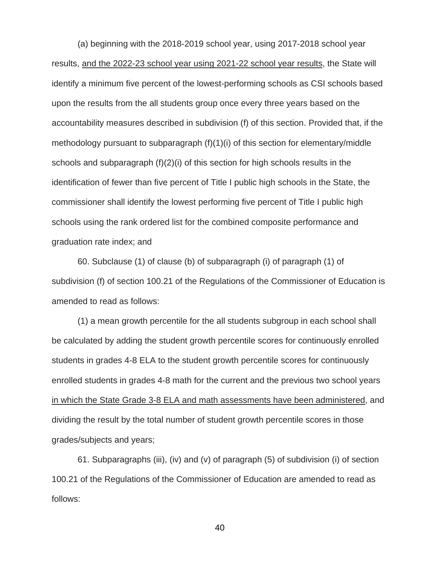(a) beginning with the 2018-2019 school year, using 2017-2018 school year results, and the 2022-23 school year using 2021-22 school year results, the State will identify a minimum five percent of the lowest-performing schools as CSI schools based upon the results from the all students group once every three years based on the accountability measures described in subdivision (f) of this section. Provided that, if the methodology pursuant to subparagraph (f)(1)(i) of this section for elementary/middle schools and subparagraph (f)(2)(i) of this section for high schools results in the identification of fewer than five percent of Title I public high schools in the State, the commissioner shall identify the lowest performing five percent of Title I public high schools using the rank ordered list for the combined composite performance and graduation rate index; and

60. Subclause (1) of clause (b) of subparagraph (i) of paragraph (1) of subdivision (f) of section 100.21 of the Regulations of the Commissioner of Education is amended to read as follows:

(1) a mean growth percentile for the all students subgroup in each school shall be calculated by adding the student growth percentile scores for continuously enrolled students in grades 4-8 ELA to the student growth percentile scores for continuously enrolled students in grades 4-8 math for the current and the previous two school years in which the State Grade 3-8 ELA and math assessments have been administered, and dividing the result by the total number of student growth percentile scores in those grades/subjects and years;

61. Subparagraphs (iii), (iv) and (v) of paragraph (5) of subdivision (i) of section 100.21 of the Regulations of the Commissioner of Education are amended to read as follows: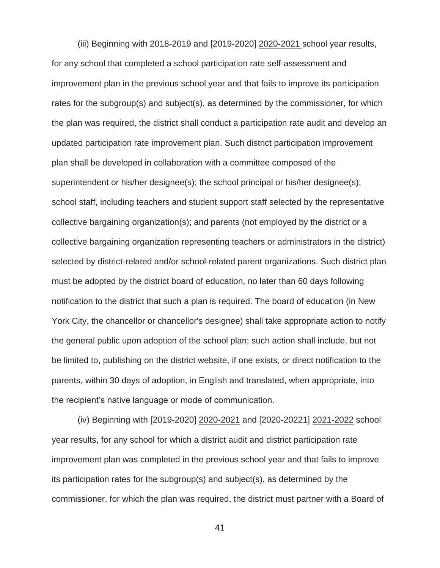(iii) Beginning with 2018-2019 and [2019-2020] 2020-2021 school year results, for any school that completed a school participation rate self-assessment and improvement plan in the previous school year and that fails to improve its participation rates for the subgroup(s) and subject(s), as determined by the commissioner, for which the plan was required, the district shall conduct a participation rate audit and develop an updated participation rate improvement plan. Such district participation improvement plan shall be developed in collaboration with a committee composed of the superintendent or his/her designee(s); the school principal or his/her designee(s); school staff, including teachers and student support staff selected by the representative collective bargaining organization(s); and parents (not employed by the district or a collective bargaining organization representing teachers or administrators in the district) selected by district-related and/or school-related parent organizations. Such district plan must be adopted by the district board of education, no later than 60 days following notification to the district that such a plan is required. The board of education (in New York City, the chancellor or chancellor's designee) shall take appropriate action to notify the general public upon adoption of the school plan; such action shall include, but not be limited to, publishing on the district website, if one exists, or direct notification to the parents, within 30 days of adoption, in English and translated, when appropriate, into the recipient's native language or mode of communication.

(iv) Beginning with [2019-2020] 2020-2021 and [2020-20221] 2021-2022 school year results, for any school for which a district audit and district participation rate improvement plan was completed in the previous school year and that fails to improve its participation rates for the subgroup(s) and subject(s), as determined by the commissioner, for which the plan was required, the district must partner with a Board of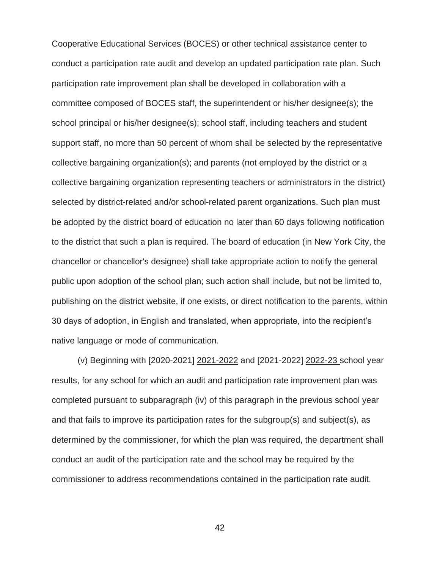Cooperative Educational Services (BOCES) or other technical assistance center to conduct a participation rate audit and develop an updated participation rate plan. Such participation rate improvement plan shall be developed in collaboration with a committee composed of BOCES staff, the superintendent or his/her designee(s); the school principal or his/her designee(s); school staff, including teachers and student support staff, no more than 50 percent of whom shall be selected by the representative collective bargaining organization(s); and parents (not employed by the district or a collective bargaining organization representing teachers or administrators in the district) selected by district-related and/or school-related parent organizations. Such plan must be adopted by the district board of education no later than 60 days following notification to the district that such a plan is required. The board of education (in New York City, the chancellor or chancellor's designee) shall take appropriate action to notify the general public upon adoption of the school plan; such action shall include, but not be limited to, publishing on the district website, if one exists, or direct notification to the parents, within 30 days of adoption, in English and translated, when appropriate, into the recipient's native language or mode of communication.

(v) Beginning with [2020-2021] 2021-2022 and [2021-2022] 2022-23 school year results, for any school for which an audit and participation rate improvement plan was completed pursuant to subparagraph (iv) of this paragraph in the previous school year and that fails to improve its participation rates for the subgroup(s) and subject(s), as determined by the commissioner, for which the plan was required, the department shall conduct an audit of the participation rate and the school may be required by the commissioner to address recommendations contained in the participation rate audit.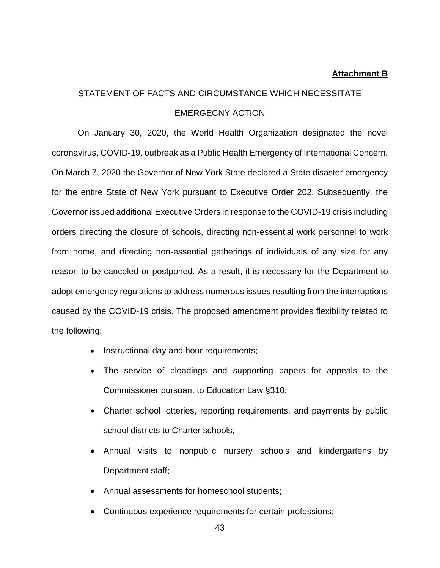#### **Attachment B**

# STATEMENT OF FACTS AND CIRCUMSTANCE WHICH NECESSITATE EMERGECNY ACTION

On January 30, 2020, the World Health Organization designated the novel coronavirus, COVID-19, outbreak as a Public Health Emergency of International Concern. On March 7, 2020 the Governor of New York State declared a State disaster emergency for the entire State of New York pursuant to Executive Order 202. Subsequently, the Governor issued additional Executive Orders in response to the COVID-19 crisis including orders directing the closure of schools, directing non-essential work personnel to work from home, and directing non-essential gatherings of individuals of any size for any reason to be canceled or postponed. As a result, it is necessary for the Department to adopt emergency regulations to address numerous issues resulting from the interruptions caused by the COVID-19 crisis. The proposed amendment provides flexibility related to the following:

- Instructional day and hour requirements;
- The service of pleadings and supporting papers for appeals to the Commissioner pursuant to Education Law §310;
- Charter school lotteries, reporting requirements, and payments by public school districts to Charter schools;
- Annual visits to nonpublic nursery schools and kindergartens by Department staff;
- Annual assessments for homeschool students;
- Continuous experience requirements for certain professions;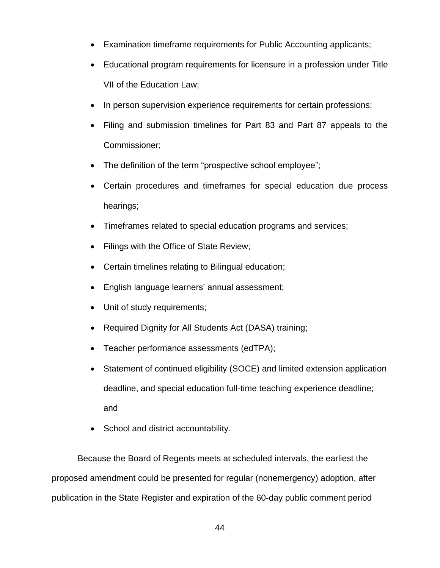- Examination timeframe requirements for Public Accounting applicants;
- Educational program requirements for licensure in a profession under Title VII of the Education Law;
- In person supervision experience requirements for certain professions;
- Filing and submission timelines for Part 83 and Part 87 appeals to the Commissioner;
- The definition of the term "prospective school employee";
- Certain procedures and timeframes for special education due process hearings;
- Timeframes related to special education programs and services;
- Filings with the Office of State Review;
- Certain timelines relating to Bilingual education;
- English language learners' annual assessment;
- Unit of study requirements;
- Required Dignity for All Students Act (DASA) training;
- Teacher performance assessments (edTPA);
- Statement of continued eligibility (SOCE) and limited extension application deadline, and special education full-time teaching experience deadline; and
- School and district accountability.

Because the Board of Regents meets at scheduled intervals, the earliest the proposed amendment could be presented for regular (nonemergency) adoption, after publication in the State Register and expiration of the 60-day public comment period